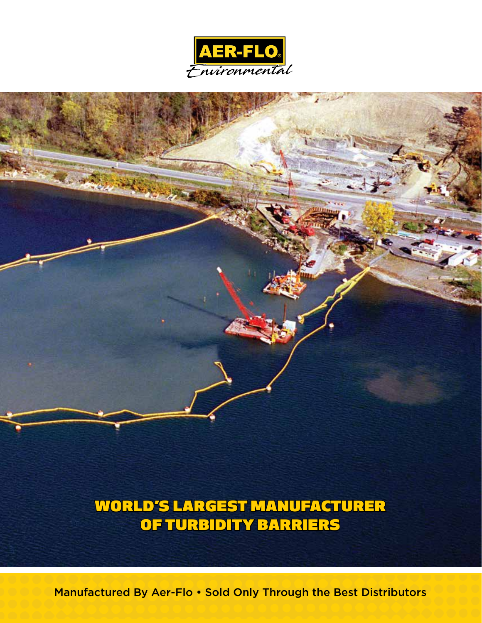



WORLD'S LARGEST MANUFACTURER OF TURBIDITY BARRIERS

Manufactured By Aer-Flo • Sold Only Through the Best Distributors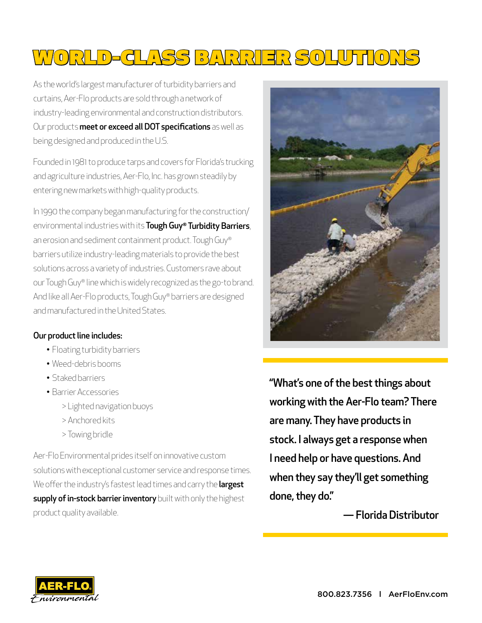# WORLD-CLASS BARRIER SOLUTIONS

As the world's largest manufacturer of turbidity barriers and curtains, Aer-Flo products are sold through a network of industry-leading environmental and construction distributors. Our products meet or exceed all DOT specifications as well as being designed and produced in the U.S.

Founded in 1981 to produce tarps and covers for Florida's trucking and agriculture industries, Aer-Flo, Inc. has grown steadily by entering new markets with high-quality products.

In 1990 the company began manufacturing for the construction/ environmental industries with its Tough Guy® Turbidity Barriers, an erosion and sediment containment product. Tough Guy® barriers utilize industry-leading materials to provide the best solutions across a variety of industries. Customers rave about our Tough Guy® line which is widely recognized as the go-to brand. And like all Aer-Flo products, Tough Guy® barriers are designed and manufactured in the United States.

#### Our product line includes:

- Floating turbidity barriers
- Weed-debris booms
- Staked barriers
- Barrier Accessories
	- > Lighted navigation buoys
	- > Anchored kits
	- > Towing bridle

Aer-Flo Environmental prides itself on innovative custom solutions with exceptional customer service and response times. We offer the industry's fastest lead times and carry the largest supply of in-stock barrier inventory built with only the highest product quality available.



"What's one of the best things about working with the Aer-Flo team? There are many. They have products in stock. I always get a response when I need help or have questions. And when they say they'll get something done, they do."

— Florida Distributor

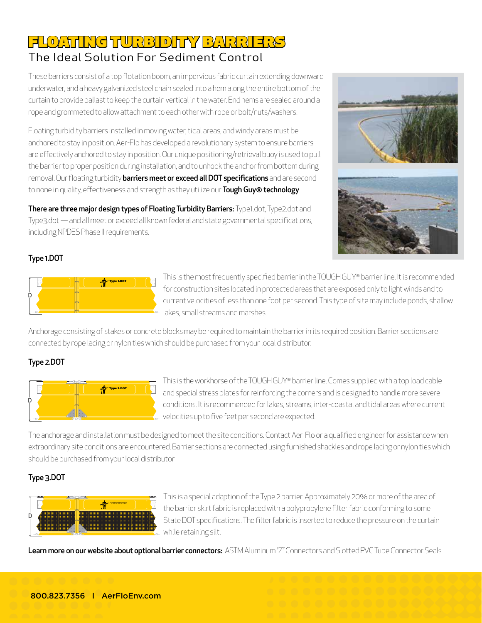## FLOATING TURBIDITY BARRIERS The Ideal Solution For Sediment Control

These barriers consist of a top flotation boom, an impervious fabric curtain extending downward underwater, and a heavy galvanized steel chain sealed into a hem along the entire bottom of the curtain to provide ballast to keep the curtain vertical in the water. End hems are sealed around a rope and grommeted to allow attachment to each other with rope or bolt/nuts/washers.

Floating turbidity barriers installed in moving water, tidal areas, and windy areas must be anchored to stay in position. Aer-Flo has developed a revolutionary system to ensure barriers are effectively anchored to stay in position. Our unique positioning/retrieval buoy is used to pull the barrier to proper position during installation, and to unhook the anchor from bottom during removal. Our floating turbidity **barriers meet or exceed all DOT specifications** and are second to none in quality, effectiveness and strength as they utilize our Tough Guy® technology.

There are three major design types of Floating Turbidity Barriers: Type1.dot, Type2.dot and Type3.dot — and all meet or exceed all known federal and state governmental specifications, including NPDES Phase II requirements.



### Type 1.DOT



This is the most frequently specified barrier in the TOUGH GUY® barrier line. It is recommended for construction sites located in protected areas that are exposed only to light winds and to current velocities of less than one foot per second. This type of site may include ponds, shallow lakes, small streams and marshes.

Anchorage consisting of stakes or concrete blocks may be required to maintain the barrier in its required position. Barrier sections are connected by rope lacing or nylon ties which should be purchased from your local distributor.

### Type 2.DOT



This is the workhorse of the TOUGH GUY® barrier line. Comes supplied with a top load cable and special stress plates for reinforcing the corners and is designed to handle more severe conditions. It is recommended for lakes, streams, inter-coastal and tidal areas where current velocities up to five feet per second are expected.

The anchorage and installation must be designed to meet the site conditions. Contact Aer-Flo or a qualified engineer for assistance when extraordinary site conditions are encountered. Barrier sections are connected using furnished shackles and rope lacing or nylon ties which should be purchased from your local distributor

### Type 3.DOT



This is a special adaption of the Type 2 barrier. Approximately 20% or more of the area of the barrier skirt fabric is replaced with a polypropylene filter fabric conforming to some State DOT specifications. The filter fabric is inserted to reduce the pressure on the curtain while retaining silt.

Learn more on our website about optional barrier connectors: ASTM Aluminum "Z" Connectors and Slotted PVC Tube Connector Seals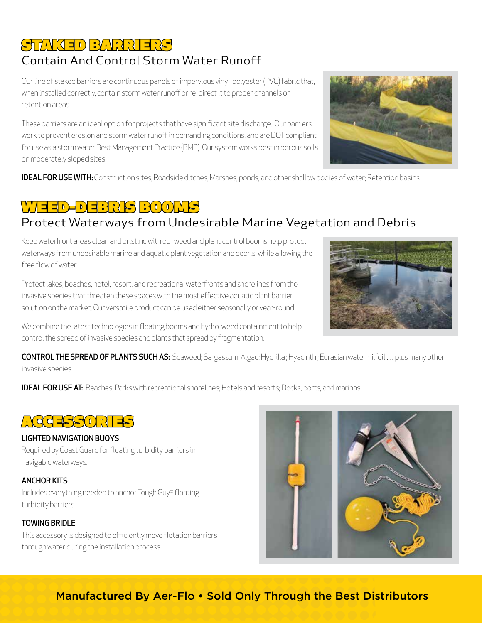## STAKED BARRIERS

## Contain And Control Storm Water Runoff

Our line of staked barriers are continuous panels of impervious vinyl-polyester (PVC) fabric that, when installed correctly, contain storm water runoff or re-direct it to proper channels or retention areas.

These barriers are an ideal option for projects that have significant site discharge. Our barriers work to prevent erosion and storm water runoff in demanding conditions, and are DOT compliant for use as a storm water Best Management Practice (BMP). Our system works best in porous soils on moderately sloped sites.



IDEAL FOR USE WITH: Construction sites; Roadside ditches; Marshes, ponds, and other shallow bodies of water; Retention basins

## WEED-DEBRIS BOOMS

## Protect Waterways from Undesirable Marine Vegetation and Debris

Keep waterfront areas clean and pristine with our weed and plant control booms help protect waterways from undesirable marine and aquatic plant vegetation and debris, while allowing the free flow of water.

Protect lakes, beaches, hotel, resort, and recreational waterfronts and shorelines from the invasive species that threaten these spaces with the most effective aquatic plant barrier solution on the market. Our versatile product can be used either seasonally or year-round.



We combine the latest technologies in floating booms and hydro-weed containment to help control the spread of invasive species and plants that spread by fragmentation.

CONTROL THE SPREAD OF PLANTS SUCH AS: Seaweed; Sargassum; Algae; Hydrilla ; Hyacinth ; Eurasian watermilfoil … plus many other invasive species.

**IDEAL FOR USE AT:** Beaches; Parks with recreational shorelines; Hotels and resorts; Docks, ports, and marinas



### LIGHTED NAVIGATION BUOYS

Required by Coast Guard for floating turbidity barriers in navigable waterways.

### ANCHOR KITS

Includes everything needed to anchor Tough Guy® floating turbidity barriers.

### TOWING BRIDLE

This accessory is designed to efficiently move flotation barriers through water during the installation process.



## Manufactured By Aer-Flo • Sold Only Through the Best Distributors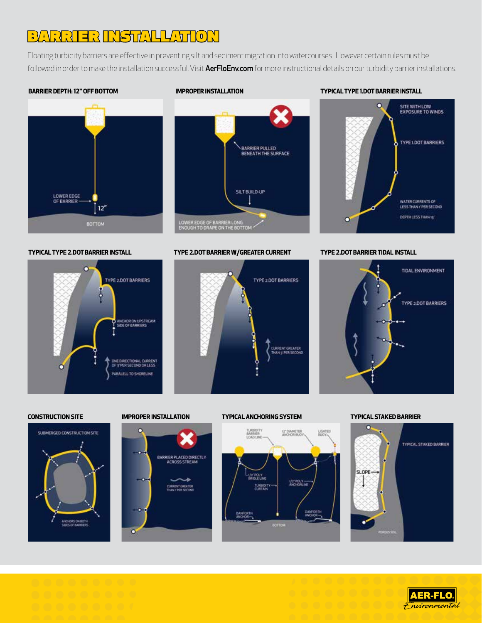## BARRIER INSTALLATION

Floating turbidity barriers are effective in preventing silt and sediment migration into watercourses. However certain rules must be followed in order to make the installation successful. Visit AerFloEnv.com for more instructional details on our turbidity barrier installations.

#### **BARRIER DEPTH: 12" OFF BOTTOM**





#### **TYPICAL TYPE 1.DOT BARRIER INSTALL**



**TYPICAL TYPE 2.DOT BARRIER INSTALL**



**TYPE 2.DOT BARRIER W/GREATER CURRENT TYPE 2.DOT BARRIER TIDAL INSTALL**









#### **CONSTRUCTION SITE IMPROPER INSTALLATION TYPICAL ANCHORING SYSTEM TYPICAL STAKED BARRIER**